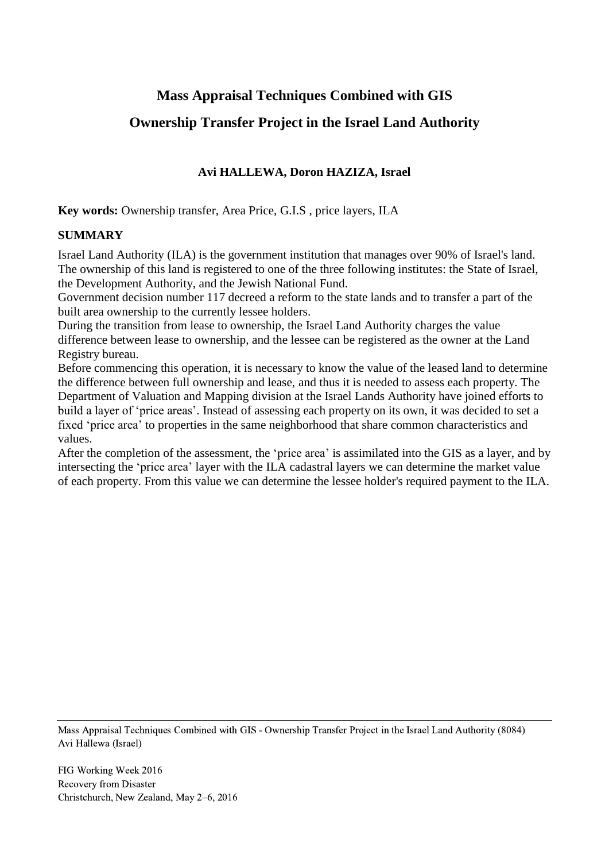# **Mass Appraisal Techniques Combined with GIS**

# **Ownership Transfer Project in the Israel Land Authority**

# **Avi HALLEWA, Doron HAZIZA, Israel**

**Key words:** Ownership transfer, Area Price, G.I.S , price layers, ILA

#### **SUMMARY**

Israel Land Authority (ILA) is the government institution that manages over 90% of Israel's land. The ownership of this land is registered to one of the three following institutes: the State of Israel, the Development Authority, and the Jewish National Fund.

Government decision number 117 decreed a reform to the state lands and to transfer a part of the built area ownership to the currently lessee holders.

During the transition from lease to ownership, the Israel Land Authority charges the value difference between lease to ownership, and the lessee can be registered as the owner at the Land Registry bureau.

Before commencing this operation, it is necessary to know the value of the leased land to determine the difference between full ownership and lease, and thus it is needed to assess each property. The Department of Valuation and Mapping division at the Israel Lands Authority have joined efforts to build a layer of 'price areas'. Instead of assessing each property on its own, it was decided to set a fixed 'price area' to properties in the same neighborhood that share common characteristics and values.

After the completion of the assessment, the 'price area' is assimilated into the GIS as a layer, and by intersecting the 'price area' layer with the ILA cadastral layers we can determine the market value of each property. From this value we can determine the lessee holder's required payment to the ILA.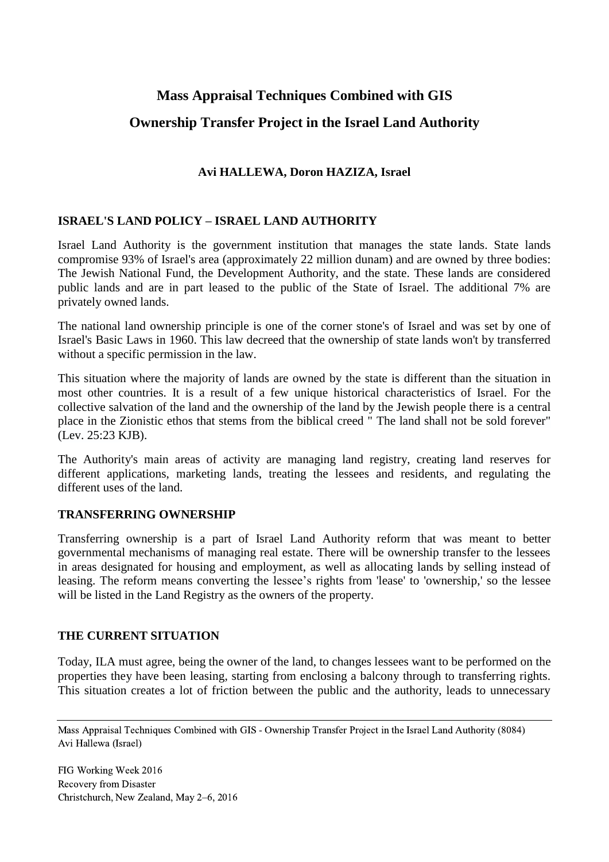# **Mass Appraisal Techniques Combined with GIS Ownership Transfer Project in the Israel Land Authority**

# **Avi HALLEWA, Doron HAZIZA, Israel**

# **ISRAEL'S LAND POLICY – ISRAEL LAND AUTHORITY**

Israel Land Authority is the government institution that manages the state lands. State lands compromise 93% of Israel's area (approximately 22 million dunam) and are owned by three bodies: The Jewish National Fund, the Development Authority, and the state. These lands are considered public lands and are in part leased to the public of the State of Israel. The additional 7% are privately owned lands.

The national land ownership principle is one of the corner stone's of Israel and was set by one of Israel's Basic Laws in 1960. This law decreed that the ownership of state lands won't by transferred without a specific permission in the law.

This situation where the majority of lands are owned by the state is different than the situation in most other countries. It is a result of a few unique historical characteristics of Israel. For the collective salvation of the land and the ownership of the land by the Jewish people there is a central place in the Zionistic ethos that stems from the biblical creed " The land shall not be sold forever" (Lev. 25:23 KJB).

The Authority's main areas of activity are managing land registry, creating land reserves for different applications, marketing lands, treating the lessees and residents, and regulating the different uses of the land.

#### **TRANSFERRING OWNERSHIP**

Transferring ownership is a part of Israel Land Authority reform that was meant to better governmental mechanisms of managing real estate. There will be ownership transfer to the lessees in areas designated for housing and employment, as well as allocating lands by selling instead of leasing. The reform means converting the lessee's rights from 'lease' to 'ownership,' so the lessee will be listed in the Land Registry as the owners of the property.

#### **THE CURRENT SITUATION**

Today, ILA must agree, being the owner of the land, to changes lessees want to be performed on the properties they have been leasing, starting from enclosing a balcony through to transferring rights. This situation creates a lot of friction between the public and the authority, leads to unnecessary

Mass Appraisal Techniques Combined with GIS - Ownership Transfer Project in the Israel Land Authority (8084) Avi Hallewa (Israel)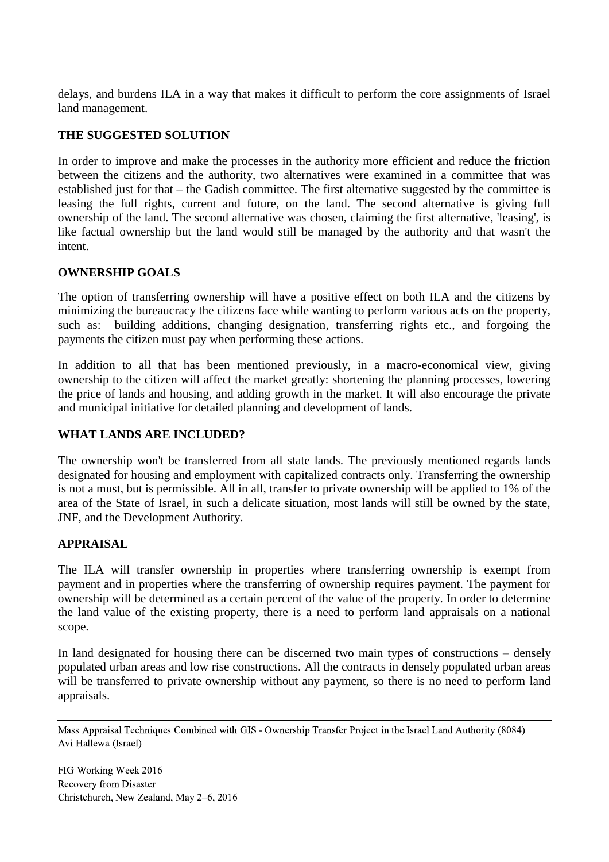delays, and burdens ILA in a way that makes it difficult to perform the core assignments of Israel land management.

# **THE SUGGESTED SOLUTION**

In order to improve and make the processes in the authority more efficient and reduce the friction between the citizens and the authority, two alternatives were examined in a committee that was established just for that – the Gadish committee. The first alternative suggested by the committee is leasing the full rights, current and future, on the land. The second alternative is giving full ownership of the land. The second alternative was chosen, claiming the first alternative, 'leasing', is like factual ownership but the land would still be managed by the authority and that wasn't the intent.

#### **OWNERSHIP GOALS**

The option of transferring ownership will have a positive effect on both ILA and the citizens by minimizing the bureaucracy the citizens face while wanting to perform various acts on the property, such as: building additions, changing designation, transferring rights etc., and forgoing the payments the citizen must pay when performing these actions.

In addition to all that has been mentioned previously, in a macro-economical view, giving ownership to the citizen will affect the market greatly: shortening the planning processes, lowering the price of lands and housing, and adding growth in the market. It will also encourage the private and municipal initiative for detailed planning and development of lands.

#### **WHAT LANDS ARE INCLUDED?**

The ownership won't be transferred from all state lands. The previously mentioned regards lands designated for housing and employment with capitalized contracts only. Transferring the ownership is not a must, but is permissible. All in all, transfer to private ownership will be applied to 1% of the area of the State of Israel, in such a delicate situation, most lands will still be owned by the state, JNF, and the Development Authority.

#### **APPRAISAL**

The ILA will transfer ownership in properties where transferring ownership is exempt from payment and in properties where the transferring of ownership requires payment. The payment for ownership will be determined as a certain percent of the value of the property. In order to determine the land value of the existing property, there is a need to perform land appraisals on a national scope.

In land designated for housing there can be discerned two main types of constructions – densely populated urban areas and low rise constructions. All the contracts in densely populated urban areas will be transferred to private ownership without any payment, so there is no need to perform land appraisals.

Mass Appraisal Techniques Combined with GIS - Ownership Transfer Project in the Israel Land Authority (8084) Avi Hallewa (Israel)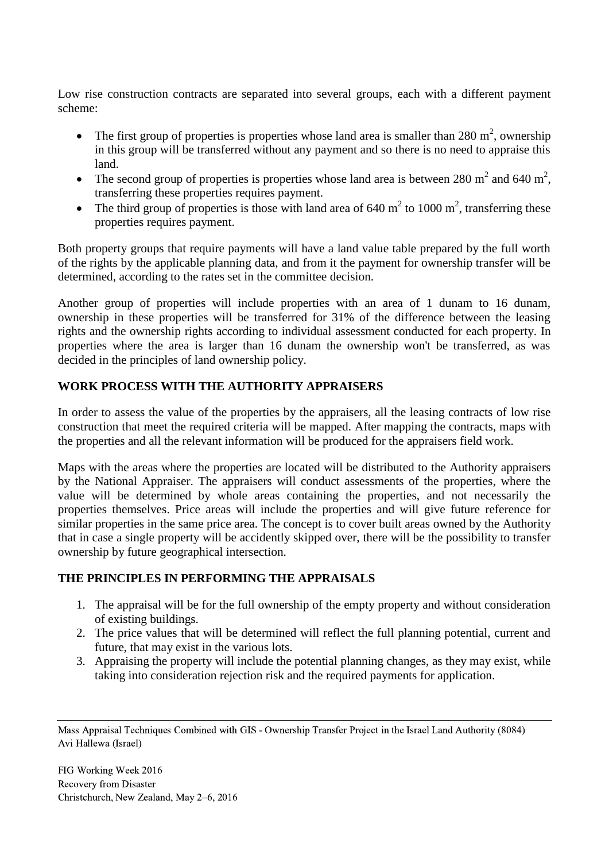Low rise construction contracts are separated into several groups, each with a different payment scheme:

- The first group of properties is properties whose land area is smaller than 280  $m^2$ , ownership in this group will be transferred without any payment and so there is no need to appraise this land.
- The second group of properties is properties whose land area is between 280  $m^2$  and 640  $m^2$ , transferring these properties requires payment.
- The third group of properties is those with land area of 640  $m^2$  to 1000  $m^2$ , transferring these properties requires payment.

Both property groups that require payments will have a land value table prepared by the full worth of the rights by the applicable planning data, and from it the payment for ownership transfer will be determined, according to the rates set in the committee decision.

Another group of properties will include properties with an area of 1 dunam to 16 dunam, ownership in these properties will be transferred for 31% of the difference between the leasing rights and the ownership rights according to individual assessment conducted for each property. In properties where the area is larger than 16 dunam the ownership won't be transferred, as was decided in the principles of land ownership policy.

# **WORK PROCESS WITH THE AUTHORITY APPRAISERS**

In order to assess the value of the properties by the appraisers, all the leasing contracts of low rise construction that meet the required criteria will be mapped. After mapping the contracts, maps with the properties and all the relevant information will be produced for the appraisers field work.

Maps with the areas where the properties are located will be distributed to the Authority appraisers by the National Appraiser. The appraisers will conduct assessments of the properties, where the value will be determined by whole areas containing the properties, and not necessarily the properties themselves. Price areas will include the properties and will give future reference for similar properties in the same price area. The concept is to cover built areas owned by the Authority that in case a single property will be accidently skipped over, there will be the possibility to transfer ownership by future geographical intersection.

# **THE PRINCIPLES IN PERFORMING THE APPRAISALS**

- 1. The appraisal will be for the full ownership of the empty property and without consideration of existing buildings.
- 2. The price values that will be determined will reflect the full planning potential, current and future, that may exist in the various lots.
- 3. Appraising the property will include the potential planning changes, as they may exist, while taking into consideration rejection risk and the required payments for application.

Mass Appraisal Techniques Combined with GIS - Ownership Transfer Project in the Israel Land Authority (8084) Avi Hallewa (Israel)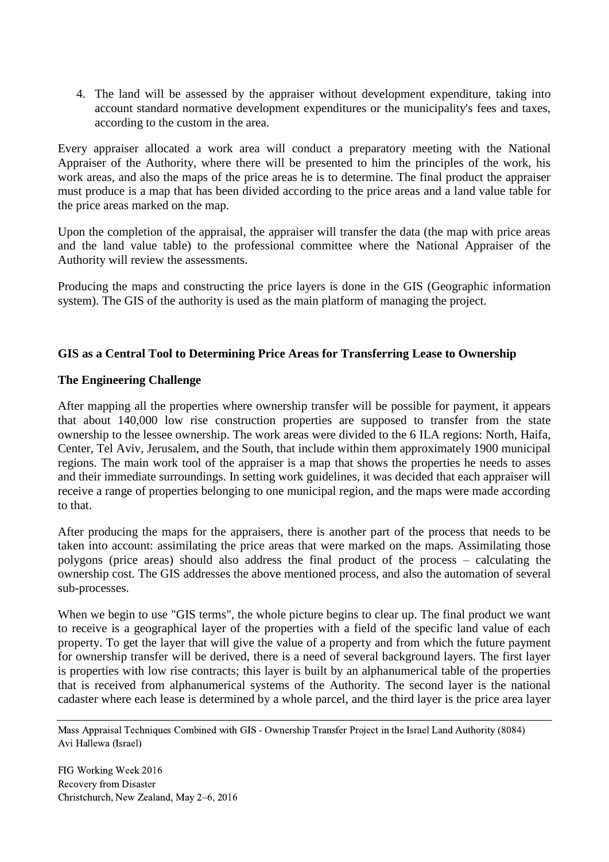4. The land will be assessed by the appraiser without development expenditure, taking into account standard normative development expenditures or the municipality's fees and taxes, according to the custom in the area.

Every appraiser allocated a work area will conduct a preparatory meeting with the National Appraiser of the Authority, where there will be presented to him the principles of the work, his work areas, and also the maps of the price areas he is to determine. The final product the appraiser must produce is a map that has been divided according to the price areas and a land value table for the price areas marked on the map.

Upon the completion of the appraisal, the appraiser will transfer the data (the map with price areas and the land value table) to the professional committee where the National Appraiser of the Authority will review the assessments.

Producing the maps and constructing the price layers is done in the GIS (Geographic information system). The GIS of the authority is used as the main platform of managing the project.

# **GIS as a Central Tool to Determining Price Areas for Transferring Lease to Ownership**

# **The Engineering Challenge**

After mapping all the properties where ownership transfer will be possible for payment, it appears that about 140,000 low rise construction properties are supposed to transfer from the state ownership to the lessee ownership. The work areas were divided to the 6 ILA regions: North, Haifa, Center, Tel Aviv, Jerusalem, and the South, that include within them approximately 1900 municipal regions. The main work tool of the appraiser is a map that shows the properties he needs to asses and their immediate surroundings. In setting work guidelines, it was decided that each appraiser will receive a range of properties belonging to one municipal region, and the maps were made according to that.

After producing the maps for the appraisers, there is another part of the process that needs to be taken into account: assimilating the price areas that were marked on the maps. Assimilating those polygons (price areas) should also address the final product of the process – calculating the ownership cost. The GIS addresses the above mentioned process, and also the automation of several sub-processes.

When we begin to use "GIS terms", the whole picture begins to clear up. The final product we want to receive is a geographical layer of the properties with a field of the specific land value of each property. To get the layer that will give the value of a property and from which the future payment for ownership transfer will be derived, there is a need of several background layers. The first layer is properties with low rise contracts; this layer is built by an alphanumerical table of the properties that is received from alphanumerical systems of the Authority. The second layer is the national cadaster where each lease is determined by a whole parcel, and the third layer is the price area layer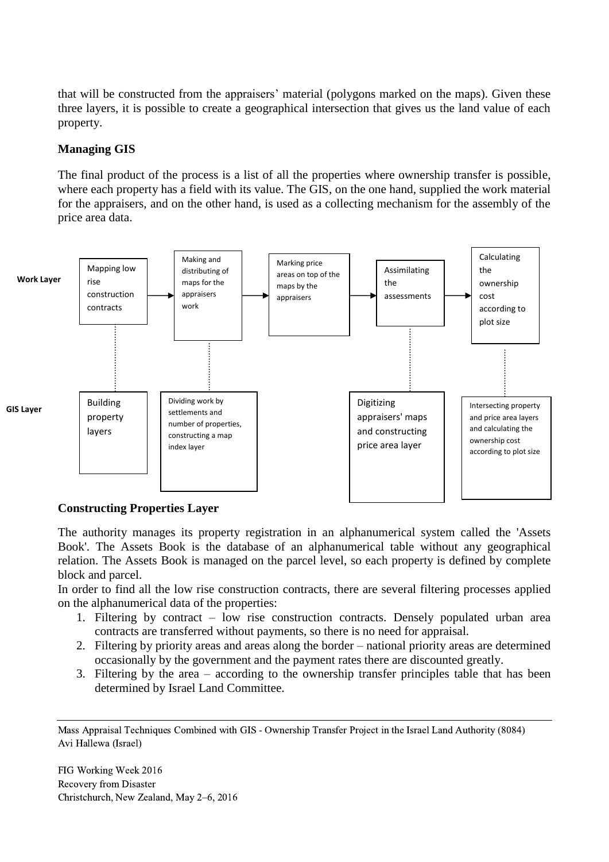that will be constructed from the appraisers' material (polygons marked on the maps). Given these three layers, it is possible to create a geographical intersection that gives us the land value of each property.

# **Managing GIS**

The final product of the process is a list of all the properties where ownership transfer is possible, where each property has a field with its value. The GIS, on the one hand, supplied the work material for the appraisers, and on the other hand, is used as a collecting mechanism for the assembly of the price area data.



# **Constructing Properties Layer**

The authority manages its property registration in an alphanumerical system called the 'Assets Book'. The Assets Book is the database of an alphanumerical table without any geographical relation. The Assets Book is managed on the parcel level, so each property is defined by complete block and parcel.

In order to find all the low rise construction contracts, there are several filtering processes applied on the alphanumerical data of the properties:

- 1. Filtering by contract low rise construction contracts. Densely populated urban area contracts are transferred without payments, so there is no need for appraisal.
- 2. Filtering by priority areas and areas along the border national priority areas are determined occasionally by the government and the payment rates there are discounted greatly.
- 3. Filtering by the area according to the ownership transfer principles table that has been determined by Israel Land Committee.

Mass Appraisal Techniques Combined with GIS - Ownership Transfer Project in the Israel Land Authority (8084) Avi Hallewa (Israel)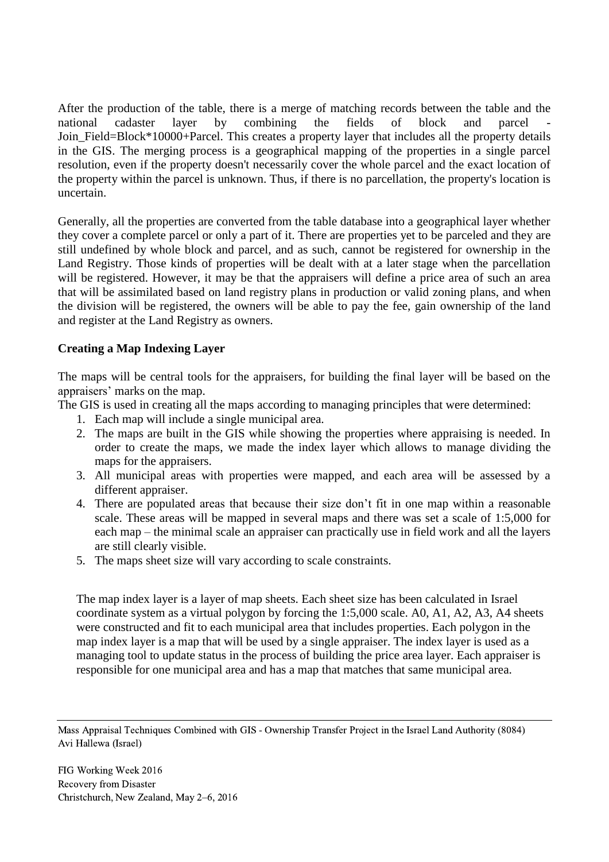After the production of the table, there is a merge of matching records between the table and the national cadaster layer by combining the fields of block and parcel - Join\_Field=Block\*10000+Parcel. This creates a property layer that includes all the property details in the GIS. The merging process is a geographical mapping of the properties in a single parcel resolution, even if the property doesn't necessarily cover the whole parcel and the exact location of the property within the parcel is unknown. Thus, if there is no parcellation, the property's location is uncertain.

Generally, all the properties are converted from the table database into a geographical layer whether they cover a complete parcel or only a part of it. There are properties yet to be parceled and they are still undefined by whole block and parcel, and as such, cannot be registered for ownership in the Land Registry. Those kinds of properties will be dealt with at a later stage when the parcellation will be registered. However, it may be that the appraisers will define a price area of such an area that will be assimilated based on land registry plans in production or valid zoning plans, and when the division will be registered, the owners will be able to pay the fee, gain ownership of the land and register at the Land Registry as owners.

# **Creating a Map Indexing Layer**

The maps will be central tools for the appraisers, for building the final layer will be based on the appraisers' marks on the map.

The GIS is used in creating all the maps according to managing principles that were determined:

- 1. Each map will include a single municipal area.
- 2. The maps are built in the GIS while showing the properties where appraising is needed. In order to create the maps, we made the index layer which allows to manage dividing the maps for the appraisers.
- 3. All municipal areas with properties were mapped, and each area will be assessed by a different appraiser.
- 4. There are populated areas that because their size don't fit in one map within a reasonable scale. These areas will be mapped in several maps and there was set a scale of 1:5,000 for each map – the minimal scale an appraiser can practically use in field work and all the layers are still clearly visible.
- 5. The maps sheet size will vary according to scale constraints.

The map index layer is a layer of map sheets. Each sheet size has been calculated in Israel coordinate system as a virtual polygon by forcing the 1:5,000 scale. A0, A1, A2, A3, A4 sheets were constructed and fit to each municipal area that includes properties. Each polygon in the map index layer is a map that will be used by a single appraiser. The index layer is used as a managing tool to update status in the process of building the price area layer. Each appraiser is responsible for one municipal area and has a map that matches that same municipal area.

Mass Appraisal Techniques Combined with GIS - Ownership Transfer Project in the Israel Land Authority (8084) Avi Hallewa (Israel)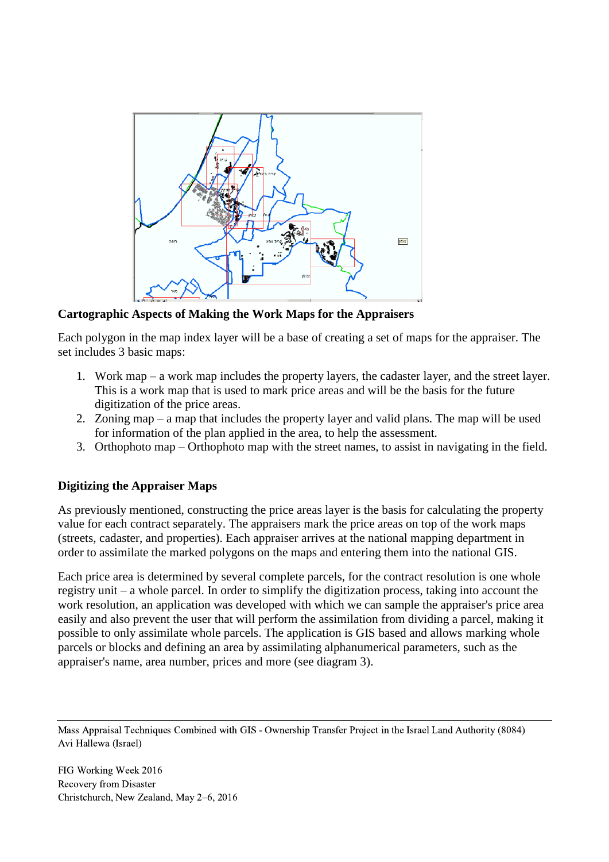

**Cartographic Aspects of Making the Work Maps for the Appraisers**

Each polygon in the map index layer will be a base of creating a set of maps for the appraiser. The set includes 3 basic maps:

- 1. Work map a work map includes the property layers, the cadaster layer, and the street layer. This is a work map that is used to mark price areas and will be the basis for the future digitization of the price areas.
- 2. Zoning map a map that includes the property layer and valid plans. The map will be used for information of the plan applied in the area, to help the assessment.
- 3. Orthophoto map Orthophoto map with the street names, to assist in navigating in the field.

#### **Digitizing the Appraiser Maps**

As previously mentioned, constructing the price areas layer is the basis for calculating the property value for each contract separately. The appraisers mark the price areas on top of the work maps (streets, cadaster, and properties). Each appraiser arrives at the national mapping department in order to assimilate the marked polygons on the maps and entering them into the national GIS.

Each price area is determined by several complete parcels, for the contract resolution is one whole registry unit – a whole parcel. In order to simplify the digitization process, taking into account the work resolution, an application was developed with which we can sample the appraiser's price area easily and also prevent the user that will perform the assimilation from dividing a parcel, making it possible to only assimilate whole parcels. The application is GIS based and allows marking whole parcels or blocks and defining an area by assimilating alphanumerical parameters, such as the appraiser's name, area number, prices and more (see diagram 3).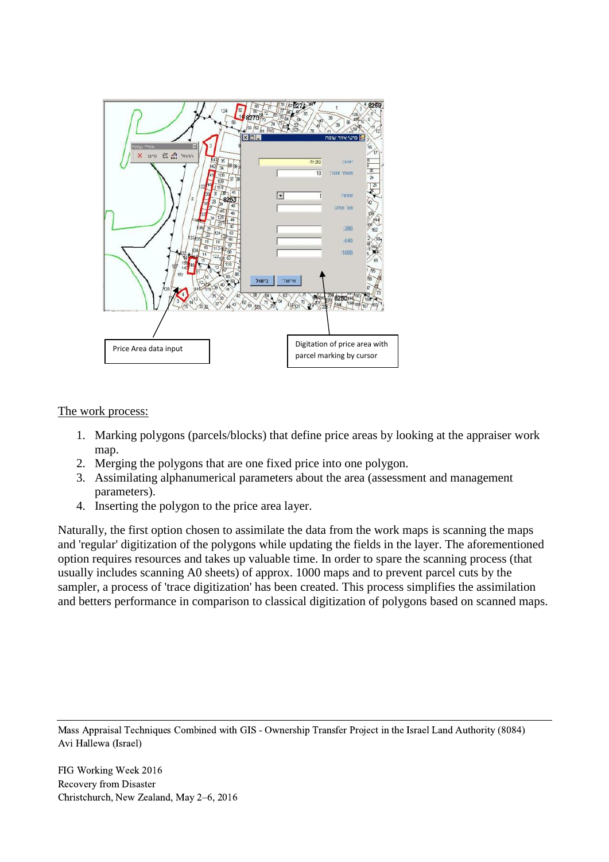

The work process:

- 1. Marking polygons (parcels/blocks) that define price areas by looking at the appraiser work map.
- 2. Merging the polygons that are one fixed price into one polygon.
- 3. Assimilating alphanumerical parameters about the area (assessment and management parameters).
- 4. Inserting the polygon to the price area layer.

Naturally, the first option chosen to assimilate the data from the work maps is scanning the maps and 'regular' digitization of the polygons while updating the fields in the layer. The aforementioned option requires resources and takes up valuable time. In order to spare the scanning process (that usually includes scanning A0 sheets) of approx. 1000 maps and to prevent parcel cuts by the sampler, a process of 'trace digitization' has been created. This process simplifies the assimilation and betters performance in comparison to classical digitization of polygons based on scanned maps.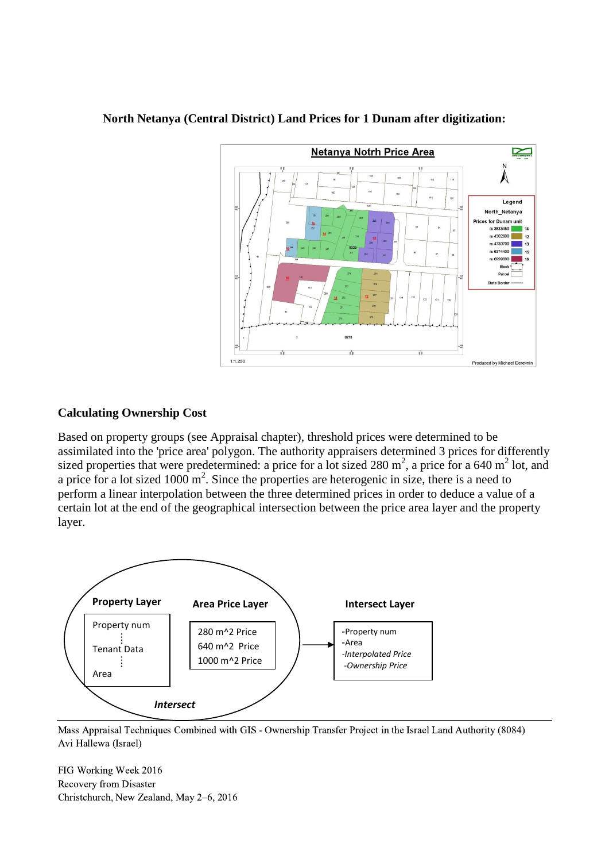

#### **North Netanya (Central District) Land Prices for 1 Dunam after digitization:**

#### **Calculating Ownership Cost**

Based on property groups (see Appraisal chapter), threshold prices were determined to be assimilated into the 'price area' polygon. The authority appraisers determined 3 prices for differently sized properties that were predetermined: a price for a lot sized  $280 \text{ m}^2$ , a price for a 640 m<sup>2</sup> lot, and a price for a lot sized  $1000 \text{ m}^2$ . Since the properties are heterogenic in size, there is a need to perform a linear interpolation between the three determined prices in order to deduce a value of a certain lot at the end of the geographical intersection between the price area layer and the property layer.



Mass Appraisal Techniques Combined with GIS - Ownership Transfer Project in the Israel Land Authority (8084) Avi Hallewa (Israel)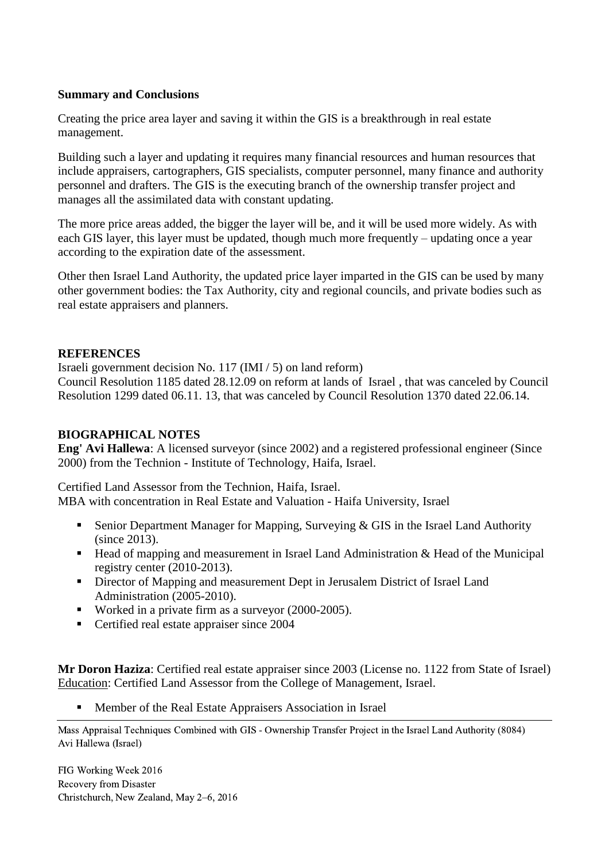#### **Summary and Conclusions**

Creating the price area layer and saving it within the GIS is a breakthrough in real estate management.

Building such a layer and updating it requires many financial resources and human resources that include appraisers, cartographers, GIS specialists, computer personnel, many finance and authority personnel and drafters. The GIS is the executing branch of the ownership transfer project and manages all the assimilated data with constant updating.

The more price areas added, the bigger the layer will be, and it will be used more widely. As with each GIS layer, this layer must be updated, though much more frequently – updating once a year according to the expiration date of the assessment.

Other then Israel Land Authority, the updated price layer imparted in the GIS can be used by many other government bodies: the Tax Authority, city and regional councils, and private bodies such as real estate appraisers and planners.

#### **REFERENCES**

Israeli government decision No. 117 (IMI / 5) on land reform)

Council Resolution 1185 dated 28.12.09 on reform at lands of Israel , that was canceled by Council Resolution 1299 dated 06.11. 13, that was canceled by Council Resolution 1370 dated 22.06.14.

# **BIOGRAPHICAL NOTES**

**Eng' Avi Hallewa**: A licensed surveyor (since 2002) and a registered professional engineer (Since 2000) from the Technion - Institute of Technology, Haifa, Israel.

Certified Land Assessor from the Technion, Haifa, Israel.

MBA with concentration in Real Estate and Valuation - Haifa University, Israel

- Senior Department Manager for Mapping, Surveying  $&$  GIS in the Israel Land Authority (since 2013).
- $\blacksquare$  Head of mapping and measurement in Israel Land Administration & Head of the Municipal registry center (2010-2013).
- Director of Mapping and measurement Dept in Jerusalem District of Israel Land Administration (2005-2010).
- Worked in a private firm as a surveyor (2000-2005).
- Certified real estate appraiser since 2004

**Mr Doron Haziza**: Certified real estate appraiser since 2003 (License no. 1122 from State of Israel) Education: Certified Land Assessor from the College of Management, Israel.

Member of the Real Estate Appraisers Association in Israel

Mass Appraisal Techniques Combined with GIS - Ownership Transfer Project in the Israel Land Authority (8084) Avi Hallewa (Israel)